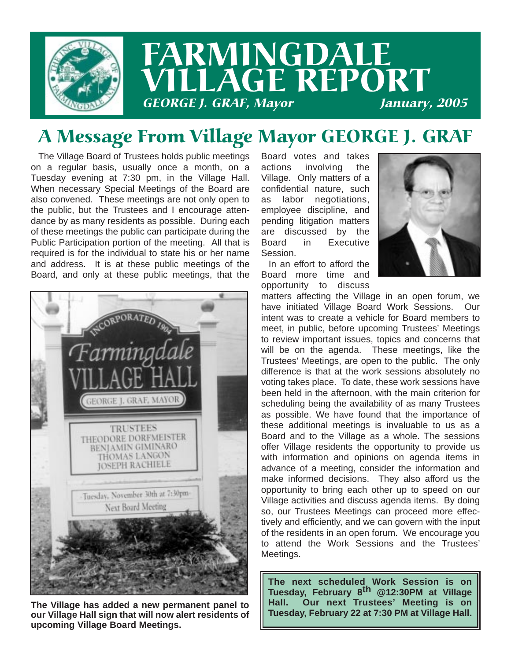

## FARMINGDALE LLAGE REPORT **GEORGE J. GRAF, Mayor**

### A Message From Village Mayor GEORGE J. GRAF

The Village Board of Trustees holds public meetings on a regular basis, usually once a month, on a Tuesday evening at 7:30 pm, in the Village Hall. When necessary Special Meetings of the Board are also convened. These meetings are not only open to the public, but the Trustees and I encourage attendance by as many residents as possible. During each of these meetings the public can participate during the Public Participation portion of the meeting. All that is required is for the individual to state his or her name and address. It is at these public meetings of the Board, and only at these public meetings, that the



**The Village has added a new permanent panel to our Village Hall sign that will now alert residents of upcoming Village Board Meetings.**

Board votes and takes actions involving the Village. Only matters of a confidential nature, such as labor negotiations, employee discipline, and pending litigation matters are discussed by the Board in Executive Session.

In an effort to afford the Board more time and opportunity to discuss



matters affecting the Village in an open forum, we have initiated Village Board Work Sessions. Our intent was to create a vehicle for Board members to meet, in public, before upcoming Trustees' Meetings to review important issues, topics and concerns that will be on the agenda. These meetings, like the Trustees' Meetings, are open to the public. The only difference is that at the work sessions absolutely no voting takes place. To date, these work sessions have been held in the afternoon, with the main criterion for scheduling being the availability of as many Trustees as possible. We have found that the importance of these additional meetings is invaluable to us as a Board and to the Village as a whole. The sessions offer Village residents the opportunity to provide us with information and opinions on agenda items in advance of a meeting, consider the information and make informed decisions. They also afford us the opportunity to bring each other up to speed on our Village activities and discuss agenda items. By doing so, our Trustees Meetings can proceed more effectively and efficiently, and we can govern with the input of the residents in an open forum. We encourage you to attend the Work Sessions and the Trustees' Meetings.

**The next scheduled Work Session is on Tuesday, February 8th @12:30PM at Village Hall. Our next Trustees' Meeting is on Tuesday, February 22 at 7:30 PM at Village Hall.**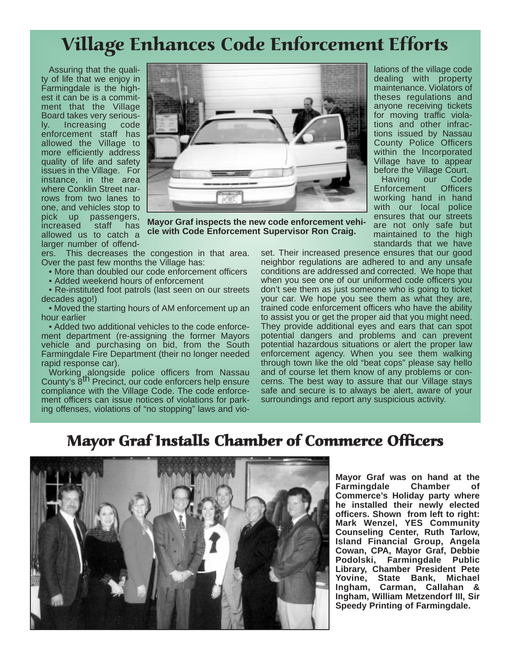### Village Enhances Code Enforcement Efforts

Assuring that the quality of life that we enjoy in Farmingdale is the highest it can be is a commitment that the Village Board takes very seriously. Increasing code enforcement staff has allowed the Village to more efficiently address quality of life and safety issues in the Village. For instance, in the area where Conklin Street narrows from two lanes to one, and vehicles stop to pick up passengers, increased staff has allowed us to catch a larger number of offend-



**Mayor Graf inspects the new code enforcement vehicle with Code Enforcement Supervisor Ron Craig.**

ers. This decreases the congestion in that area. Over the past few months the Village has:

• More than doubled our code enforcement officers

• Added weekend hours of enforcement

• Re-instituted foot patrols (last seen on our streets decades ago!)

• Moved the starting hours of AM enforcement up an hour earlier

• Added two additional vehicles to the code enforcement department (re-assigning the former Mayors vehicle and purchasing on bid, from the South Farmingdale Fire Department (their no longer needed rapid response car).

Working alongside police officers from Nassau<br>County's 8<sup>th</sup> Precinct, our code enforcers help ensure compliance with the Village Code. The code enforcement officers can issue notices of violations for parking offenses, violations of "no stopping" laws and violations of the village code dealing with property maintenance. Violators of theses regulations and anyone receiving tickets for moving traffic violations and other infractions issued by Nassau County Police Officers within the Incorporated Village have to appear before the Village Court.

Having our Code Enforcement Officers working hand in hand with our local police ensures that our streets are not only safe but maintained to the high standards that we have

set. Their increased presence ensures that our good neighbor regulations are adhered to and any unsafe conditions are addressed and corrected. We hope that when you see one of our uniformed code officers you don't see them as just someone who is going to ticket your car. We hope you see them as what they are, trained code enforcement officers who have the ability to assist you or get the proper aid that you might need. They provide additional eyes and ears that can spot potential dangers and problems and can prevent potential hazardous situations or alert the proper law enforcement agency. When you see them walking through town like the old "beat cops" please say hello and of course let them know of any problems or concerns. The best way to assure that our Village stays safe and secure is to always be alert, aware of your surroundings and report any suspicious activity.

#### Mayor Graf Installs Chamber of Commerce Officers



**Mayor Graf was on hand at the Farmingdale Chamber of Commerce's Holiday party where he installed their newly elected officers. Shown from left to right: Mark Wenzel, YES Community Counseling Center, Ruth Tarlow, Island Financial Group, Angela Cowan, CPA, Mayor Graf, Debbie Podolski, Farmingdale Public Library, Chamber President Pete Yovine, State Bank, Michael Ingham, Carman, Callahan & Ingham, William Metzendorf III, Sir Speedy Printing of Farmingdale.**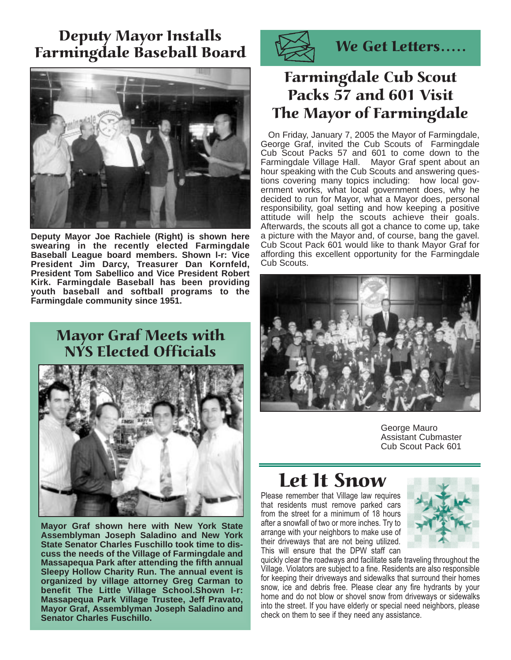#### Deputy Mayor Installs Farmingdale Baseball Board



**Deputy Mayor Joe Rachiele (Right) is shown here swearing in the recently elected Farmingdale Baseball League board members. Shown l-r: Vice President Jim Darcy, Treasurer Dan Kornfeld, President Tom Sabellico and Vice President Robert Kirk. Farmingdale Baseball has been providing youth baseball and softball programs to the Farmingdale community since 1951.**

#### Mayor Graf Meets with NYS Elected Officials



**Mayor Graf shown here with New York State Assemblyman Joseph Saladino and New York State Senator Charles Fuschillo took time to discuss the needs of the Village of Farmingdale and Massapequa Park after attending the fifth annual Sleepy Hollow Charity Run. The annual event is organized by village attorney Greg Carman to benefit The Little Village School.Shown l-r: Massapequa Park Village Trustee, Jeff Pravato, Mayor Graf, Assemblyman Joseph Saladino and Senator Charles Fuschillo.**



We Get Letters.....

#### Farmingdale Cub Scout Packs 57 and 601 Visit The Mayor of Farmingdale

On Friday, January 7, 2005 the Mayor of Farmingdale, George Graf, invited the Cub Scouts of Farmingdale Cub Scout Packs 57 and 601 to come down to the Farmingdale Village Hall. Mayor Graf spent about an hour speaking with the Cub Scouts and answering questions covering many topics including: how local government works, what local government does, why he decided to run for Mayor, what a Mayor does, personal responsibility, goal setting and how keeping a positive attitude will help the scouts achieve their goals. Afterwards, the scouts all got a chance to come up, take a picture with the Mayor and, of course, bang the gavel. Cub Scout Pack 601 would like to thank Mayor Graf for affording this excellent opportunity for the Farmingdale Cub Scouts.



George Mauro Assistant Cubmaster Cub Scout Pack 601

### Let It Snow

Please remember that Village law requires that residents must remove parked cars from the street for a minimum of 18 hours after a snowfall of two or more inches. Try to arrange with your neighbors to make use of their driveways that are not being utilized. This will ensure that the DPW staff can



quickly clear the roadways and facilitate safe traveling throughout the Village. Violators are subject to a fine. Residents are also responsible for keeping their driveways and sidewalks that surround their homes snow, ice and debris free. Please clear any fire hydrants by your home and do not blow or shovel snow from driveways or sidewalks into the street. If you have elderly or special need neighbors, please check on them to see if they need any assistance.